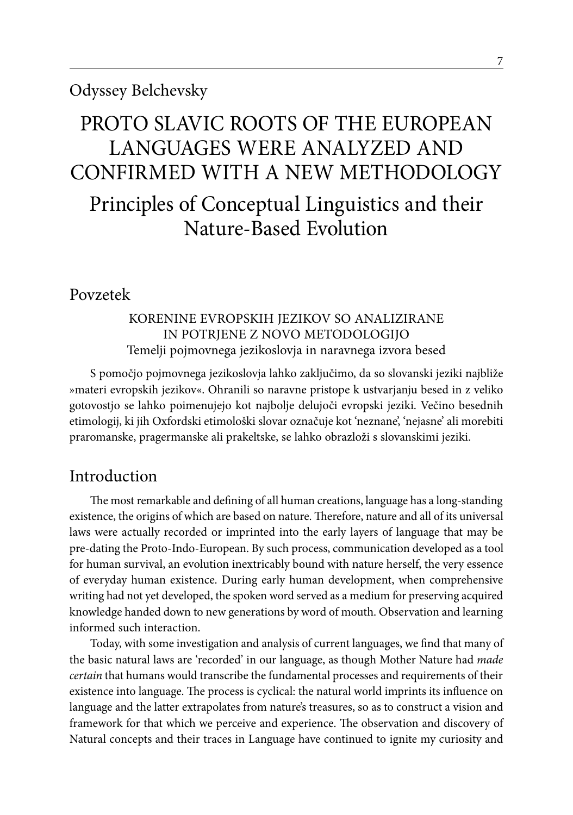# PROTO SLAVIC ROOTS OF THE EUROPEAN Languages WERE Analyzed and confirmed with a New Methodology

Principles of Conceptual Linguistics and their Nature-Based Evolution

# Povzetek

# KORENINE EVROPSKIH JEZIKOV SO ANALIZIRANE IN POTRJENE Z NOVO METODOLOGIJO Temelji pojmovnega jezikoslovja in naravnega izvora besed

S pomočjo pojmovnega jezikoslovja lahko zaključimo, da so slovanski jeziki najbliže »materi evropskih jezikov«. Ohranili so naravne pristope k ustvarjanju besed in z veliko gotovostjo se lahko poimenujejo kot najbolje delujoči evropski jeziki. Večino besednih etimologij, ki jih Oxfordski etimološki slovar označuje kot 'neznane', 'nejasne' ali morebiti praromanske, pragermanske ali prakeltske, se lahko obrazloži s slovanskimi jeziki.

# Introduction

The most remarkable and defining of all human creations, language has a long-standing existence, the origins of which are based on nature. Therefore, nature and all of its universal laws were actually recorded or imprinted into the early layers of language that may be pre-dating the Proto-Indo-European. By such process, communication developed as a tool for human survival, an evolution inextricably bound with nature herself, the very essence of everyday human existence. During early human development, when comprehensive writing had not yet developed, the spoken word served as a medium for preserving acquired knowledge handed down to new generations by word of mouth. Observation and learning informed such interaction.

Today, with some investigation and analysis of current languages, we find that many of the basic natural laws are 'recorded' in our language, as though Mother Nature had *made certain* that humans would transcribe the fundamental processes and requirements of their existence into language. The process is cyclical: the natural world imprints its influence on language and the latter extrapolates from nature's treasures, so as to construct a vision and framework for that which we perceive and experience. The observation and discovery of Natural concepts and their traces in Language have continued to ignite my curiosity and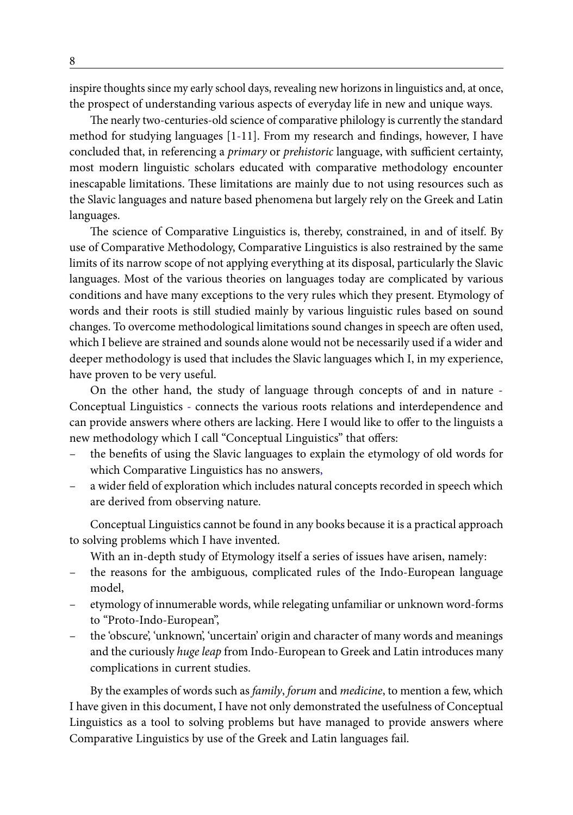inspire thoughts since my early school days, revealing new horizons in linguistics and, at once, the prospect of understanding various aspects of everyday life in new and unique ways.

The nearly two-centuries-old science of comparative philology is currently the standard method for studying languages [1-11]. From my research and findings, however, I have concluded that, in referencing a *primary* or *prehistoric* language, with sufficient certainty, most modern linguistic scholars educated with comparative methodology encounter inescapable limitations. These limitations are mainly due to not using resources such as the Slavic languages and nature based phenomena but largely rely on the Greek and Latin languages.

The science of Comparative Linguistics is, thereby, constrained, in and of itself. By use of Comparative Methodology, Comparative Linguistics is also restrained by the same limits of its narrow scope of not applying everything at its disposal, particularly the Slavic languages. Most of the various theories on languages today are complicated by various conditions and have many exceptions to the very rules which they present. Etymology of words and their roots is still studied mainly by various linguistic rules based on sound changes. To overcome methodological limitations sound changes in speech are often used, which I believe are strained and sounds alone would not be necessarily used if a wider and deeper methodology is used that includes the Slavic languages which I, in my experience, have proven to be very useful.

On the other hand, the study of language through concepts of and in nature - Conceptual Linguistics - connects the various roots relations and interdependence and can provide answers where others are lacking. Here I would like to offer to the linguists a new methodology which I call "Conceptual Linguistics" that offers:

- the benefits of using the Slavic languages to explain the etymology of old words for which Comparative Linguistics has no answers,
- a wider field of exploration which includes natural concepts recorded in speech which are derived from observing nature.

Conceptual Linguistics cannot be found in any books because it is a practical approach to solving problems which I have invented.

With an in-depth study of Etymology itself a series of issues have arisen, namely:

- the reasons for the ambiguous, complicated rules of the Indo-European language model,
- etymology of innumerable words, while relegating unfamiliar or unknown word-forms to "Proto-Indo-European",
- the 'obscure', 'unknown', 'uncertain' origin and character of many words and meanings and the curiously *huge leap* from Indo-European to Greek and Latin introduces many complications in current studies.

By the examples of words such as *family*, *forum* and *medicine*, to mention a few, which I have given in this document, I have not only demonstrated the usefulness of Conceptual Linguistics as a tool to solving problems but have managed to provide answers where Comparative Linguistics by use of the Greek and Latin languages fail.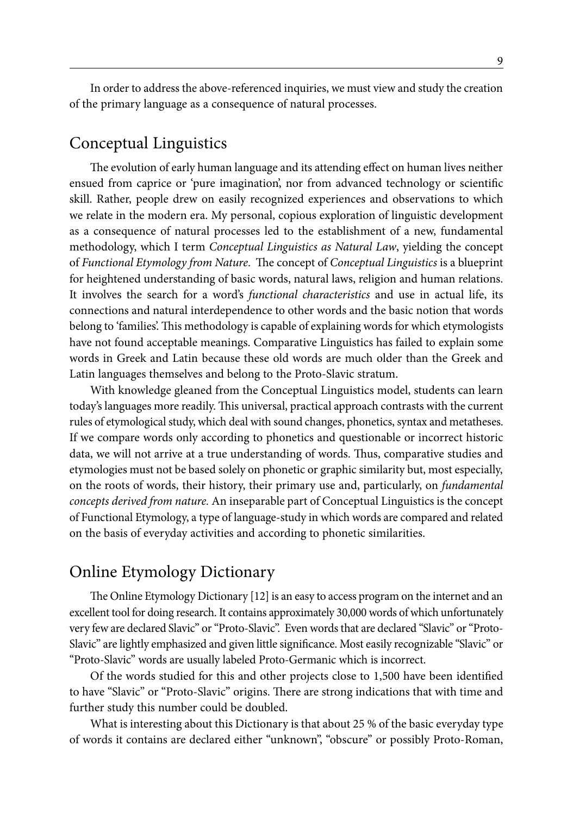In order to address the above-referenced inquiries, we must view and study the creation of the primary language as a consequence of natural processes.

# Conceptual Linguistics

The evolution of early human language and its attending effect on human lives neither ensued from caprice or 'pure imagination', nor from advanced technology or scientific skill. Rather, people drew on easily recognized experiences and observations to which we relate in the modern era. My personal, copious exploration of linguistic development as a consequence of natural processes led to the establishment of a new, fundamental methodology, which I term *Conceptual Linguistics as Natural Law*, yielding the concept of *Functional Etymology from Nature*. The concept of *Conceptual Linguistics* is a blueprint for heightened understanding of basic words, natural laws, religion and human relations. It involves the search for a word's *functional characteristics* and use in actual life, its connections and natural interdependence to other words and the basic notion that words belong to 'families'. This methodology is capable of explaining words for which etymologists have not found acceptable meanings. Comparative Linguistics has failed to explain some words in Greek and Latin because these old words are much older than the Greek and Latin languages themselves and belong to the Proto-Slavic stratum.

With knowledge gleaned from the Conceptual Linguistics model, students can learn today's languages more readily. This universal, practical approach contrasts with the current rules of etymological study, which deal with sound changes, phonetics, syntax and metatheses. If we compare words only according to phonetics and questionable or incorrect historic data, we will not arrive at a true understanding of words. Thus, comparative studies and etymologies must not be based solely on phonetic or graphic similarity but, most especially, on the roots of words, their history, their primary use and, particularly, on *fundamental concepts derived from nature.* An inseparable part of Conceptual Linguistics is the concept of Functional Etymology, a type of language-study in which words are compared and related on the basis of everyday activities and according to phonetic similarities.

# Online Etymology Dictionary

The Online Etymology Dictionary [12] is an easy to access program on the internet and an excellent tool for doing research. It contains approximately 30,000 words of which unfortunately very few are declared Slavic" or "Proto-Slavic". Even words that are declared "Slavic" or "Proto-Slavic" are lightly emphasized and given little significance. Most easily recognizable "Slavic" or "Proto-Slavic" words are usually labeled Proto-Germanic which is incorrect.

Of the words studied for this and other projects close to 1,500 have been identified to have "Slavic" or "Proto-Slavic" origins. There are strong indications that with time and further study this number could be doubled.

What is interesting about this Dictionary is that about 25 % of the basic everyday type of words it contains are declared either "unknown", "obscure" or possibly Proto-Roman,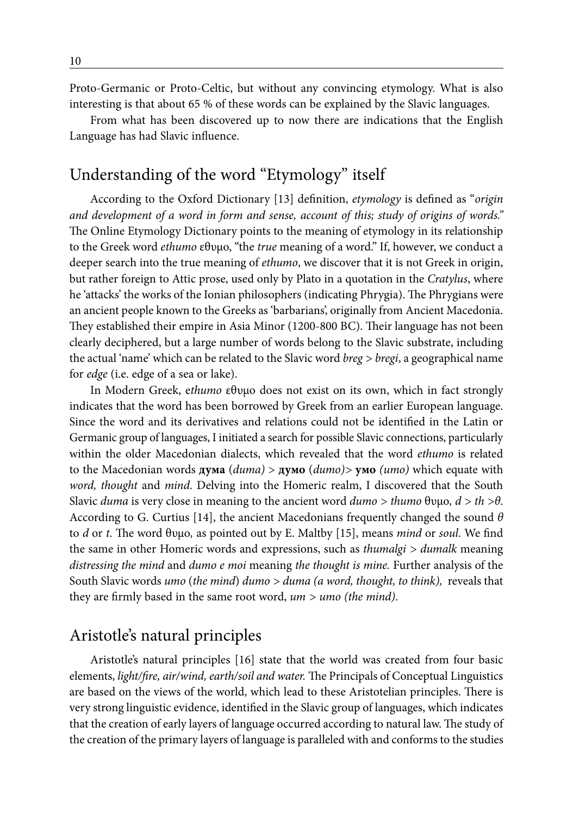Proto-Germanic or Proto-Celtic, but without any convincing etymology. What is also interesting is that about 65 % of these words can be explained by the Slavic languages.

From what has been discovered up to now there are indications that the English Language has had Slavic influence.

# Understanding of the word "Etymology" itself

According to the Oxford Dictionary [13] definition, *etymology* is defined as "*origin and development of a word in form and sense, account of this; study of origins of words."*  The Online Etymology Dictionary points to the meaning of etymology in its relationship to the Greek word *ethumo* εθυμο, "the *true* meaning of a word." If, however, we conduct a deeper search into the true meaning of *ethumo*, we discover that it is not Greek in origin, but rather foreign to Attic prose, used only by Plato in a quotation in the *Cratylus*, where he 'attacks' the works of the Ionian philosophers (indicating Phrygia). The Phrygians were an ancient people known to the Greeks as 'barbarians', originally from Ancient Macedonia. They established their empire in Asia Minor (1200-800 BC). Their language has not been clearly deciphered, but a large number of words belong to the Slavic substrate, including the actual 'name' which can be related to the Slavic word *breg > bregi*, a geographical name for *edge* (i.e. edge of a sea or lake).

In Modern Greek, e*thumo* εθυμο does not exist on its own, which in fact strongly indicates that the word has been borrowed by Greek from an earlier European language. Since the word and its derivatives and relations could not be identified in the Latin or Germanic group of languages, I initiated a search for possible Slavic connections, particularly within the older Macedonian dialects, which revealed that the word *ethumo* is related to the Macedonian words **дума** (*duma)* > **думо** (*dumo)>* **умо** *(umo)* which equate with *word, thought* and *mind*. Delving into the Homeric realm, I discovered that the South Slavic *duma* is very close in meaning to the ancient word *dumo > thumo* θυμο*, d > th >θ*. According to G. Curtius [14], the ancient Macedonians frequently changed the sound *θ* to *d* or *t*. The word θυμο*,* as pointed out by E. Maltby [15], means *mind* or *soul*. We find the same in other Homeric words and expressions, such as *thumalgi > dumalk* meaning *distressing the mind* and *dumo e moi* meaning *the thought is mine.* Further analysis of the South Slavic words *umo* (*the mind*) *dumo > duma (a word, thought, to think),* reveals that they are firmly based in the same root word, *um > umo (the mind)*.

# Aristotle's natural principles

Aristotle's natural principles [16] state that the world was created from four basic elements, *light/fire, air/wind, earth/soil and water.* The Principals of Conceptual Linguistics are based on the views of the world, which lead to these Aristotelian principles. There is very strong linguistic evidence, identified in the Slavic group of languages, which indicates that the creation of early layers of language occurred according to natural law. The study of the creation of the primary layers of language is paralleled with and conforms to the studies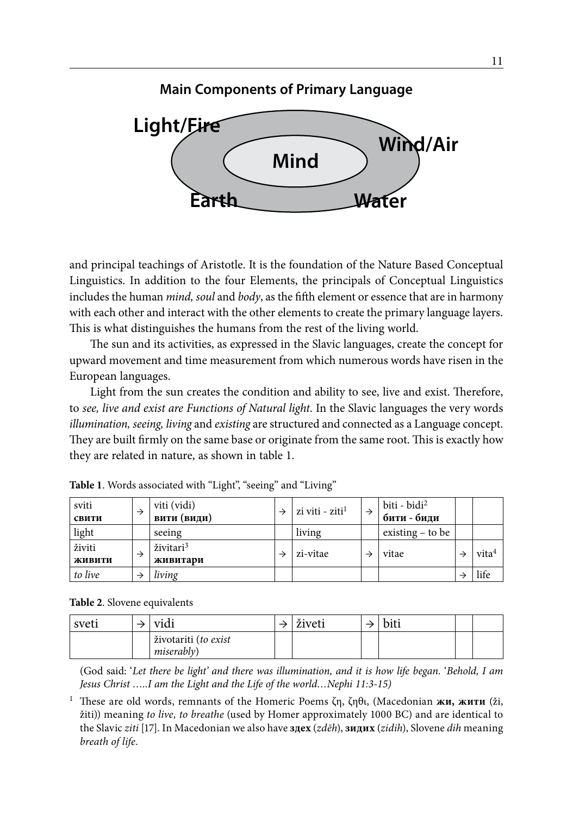

and principal teachings of Aristotle. It is the foundation of the Nature Based Conceptual Linguistics. In addition to the four Elements, the principals of Conceptual Linguistics includes the human *mind, soul* and *body*, as the fifth element or essence that are in harmony with each other and interact with the other elements to create the primary language layers. This is what distinguishes the humans from the rest of the living world.

The sun and its activities, as expressed in the Slavic languages, create the concept for upward movement and time measurement from which numerous words have risen in the European languages.

Light from the sun creates the condition and ability to see, live and exist. Therefore, to *see, live and exist are Functions of Natural light*. In the Slavic languages the very words *illumination, seeing, living* and *existing* are structured and connected as a Language concept. They are built firmly on the same base or originate from the same root. This is exactly how they are related in nature, as shown in table 1.

| sviti<br>свити   |   | viti (vidi)<br>вити (види)        | zi viti - ziti <sup>1</sup> | biti - bidi <sup>2</sup><br>бити - биди |                   |
|------------------|---|-----------------------------------|-----------------------------|-----------------------------------------|-------------------|
| light            |   | seeing                            | living                      | existing $-$ to be                      |                   |
| živiti<br>живити | → | živitari <sup>3</sup><br>живитари | zi-vitae                    | vitae                                   | vita <sup>4</sup> |
| to live          |   | living                            |                             |                                         | life              |

**Table 1**. Words associated with "Light", "seeing" and "Living"

**Table 2**. Slovene equivalents

| sveti | Vidi                 | živeti | bit. |  |
|-------|----------------------|--------|------|--|
|       | životariti (to exist |        |      |  |
|       | <i>miserably</i> )   |        |      |  |

(God said: '*Let there be light' and there was illumination, and it is how life began.* '*Behold, I am Jesus Christ …..I am the Light and the Life of the world…Nephi 11:3-15)*

<sup>1</sup> These are old words, remnants of the Homeric Poems ζη, ζηθι, (Macedonian **жи, жити** (ži, žiti)) meaning *to live, to breathe* (used by Homer approximately 1000 BC) and are identical to the Slavic *ziti* [17]. In Macedonian we also have **здех** (*zdēh*), **зидих** (*zidih*), Slovene *dih* meaning *breath of life.*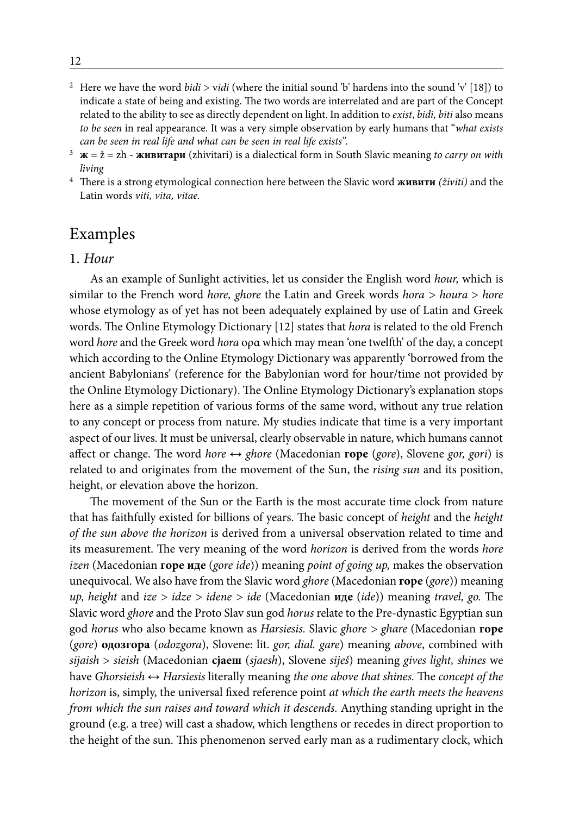- 2 Here we have the word *bidi* > v*idi* (where the initial sound 'b' hardens into the sound 'v' [18]) to indicate a state of being and existing. The two words are interrelated and are part of the Concept related to the ability to see as directly dependent on light. In addition to *exist*, *bidi, biti* also means *to be seen* in real appearance. It was a very simple observation by early humans that "*what exists can be seen in real life and what can be seen in real life exists".*
- <sup>3</sup> **ж** = ž = zh **живитари** (zhivitari) is a dialectical form in South Slavic meaning *to carry on with living*
- <sup>4</sup> There is a strong etymological connection here between the Slavic word **живити** *(živiti)* and the Latin words *viti, vita, vitae.*

# Examples

# 1. *Hour*

As an example of Sunlight activities, let us consider the English word *hour,* which is similar to the French word *hore, ghore* the Latin and Greek words *hora > houra* > *hore* whose etymology as of yet has not been adequately explained by use of Latin and Greek words. The Online Etymology Dictionary [12] states that *hora* is related to the old French word *hore* and the Greek word *hora* ορα which may mean 'one twelfth' of the day, a concept which according to the Online Etymology Dictionary was apparently 'borrowed from the ancient Babylonians' (reference for the Babylonian word for hour/time not provided by the Online Etymology Dictionary). The Online Etymology Dictionary's explanation stops here as a simple repetition of various forms of the same word, without any true relation to any concept or process from nature. My studies indicate that time is a very important aspect of our lives. It must be universal, clearly observable in nature, which humans cannot affect or change. The word *hore* ↔ *ghore* (Macedonian **горе** (*gore*), Slovene *gor, gori*) is related to and originates from the movement of the Sun, the *rising sun* and its position, height, or elevation above the horizon.

The movement of the Sun or the Earth is the most accurate time clock from nature that has faithfully existed for billions of years. The basic concept of *height* and the *height of the sun above the horizon* is derived from a universal observation related to time and its measurement. The very meaning of the word *horizon* is derived from the words *hore izen* (Macedonian **горе иде** (*gore ide*)) meaning *point of going up,* makes the observation unequivocal. We also have from the Slavic word *ghore* (Macedonian **горе** (*gore*)) meaning *up, height* and *ize > idze > idene > ide* (Macedonian **иде** (*ide*)) meaning *travel, go.* The Slavic word *ghore* and the Proto Slav sun god *horus* relate to the Pre-dynastic Egyptian sun god *horus* who also became known as *Harsiesis.* Slavic *ghore > ghare* (Macedonian **горе** (*gore*) **одозгора** (*odozgora*), Slovene: lit. *gor, dial. gare*) meaning *above*, combined with *sijaish* > *sieish* (Macedonian **сјаеш** (*sjaesh*), Slovene *siješ*) meaning *gives light, shines* we have *Ghorsieish* ↔ *Harsiesis* literally meaning *the one above that shines.* The *concept of the horizon* is, simply, the universal fixed reference point *at which the earth meets the heavens from which the sun raises and toward which it descends.* Anything standing upright in the ground (e.g. a tree) will cast a shadow, which lengthens or recedes in direct proportion to the height of the sun. This phenomenon served early man as a rudimentary clock, which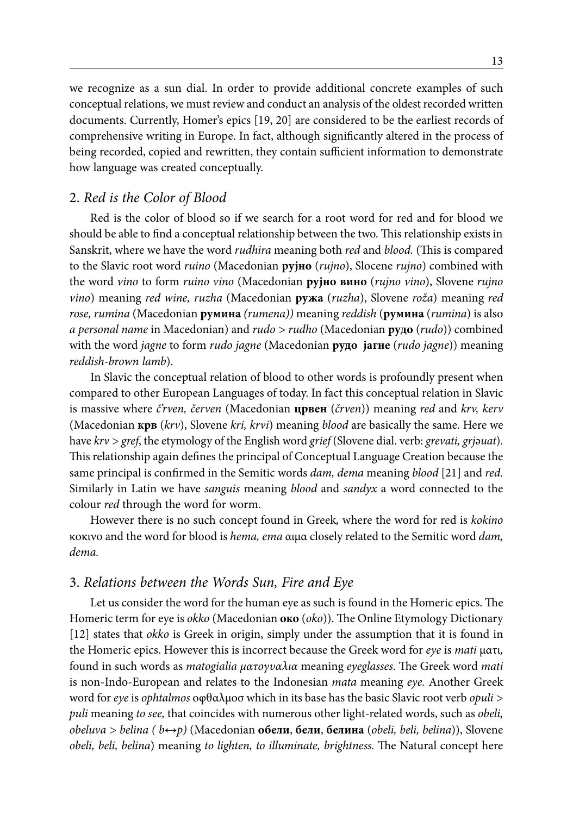we recognize as a sun dial. In order to provide additional concrete examples of such conceptual relations, we must review and conduct an analysis of the oldest recorded written documents. Currently, Homer's epics [19, 20] are considered to be the earliest records of comprehensive writing in Europe. In fact, although significantly altered in the process of being recorded, copied and rewritten, they contain sufficient information to demonstrate how language was created conceptually.

## 2. *Red is the Color of Blood*

Red is the color of blood so if we search for a root word for red and for blood we should be able to find a conceptual relationship between the two. This relationship exists in Sanskrit, where we have the word *rudhira* meaning both *red* and *blood.* (This is compared to the Slavic root word *ruino* (Macedonian **рујно** (*rujno*), Slocene *rujno*) combined with the word *vino* to form *ruino vino* (Macedonian **рујно вино** (*rujno vino*), Slovene *rujno vino*) meaning *red wine, ruzha* (Macedonian **ружа** (*ruzha*), Slovene *roža*) meaning *red rose, rumina* (Macedonian **румина** *(rumena))* meaning *reddish* (**румина** (*rumina*) is also *a personal name* in Macedonian) and *rudo > rudho* (Macedonian **рудо** (*rudo*)) combined with the word *jagne* to form *rudo jagne* (Macedonian **рудо јагне** (*rudo jagne*)) meaning *reddish-brown lamb*)*.* 

In Slavic the conceptual relation of blood to other words is profoundly present when compared to other European Languages of today. In fact this conceptual relation in Slavic is massive where *č'rven, červen* (Macedonian **црвен** (*črven*)) meaning *red* and *krv, kerv* (Macedonian **крв** (*krv*), Slovene *kri, krvi*) meaning *blood* are basically the same. Here we have *krv > gref*, the etymology of the English word *grief* (Slovene dial. verb: *grevati, grj*ә*uat*). This relationship again defines the principal of Conceptual Language Creation because the same principal is confirmed in the Semitic words *dam, dema* meaning *blood* [21] and *red.*  Similarly in Latin we have *sanguis* meaning *blood* and *sandyx* a word connected to the colour *red* through the word for worm.

However there is no such concept found in Greek*,* where the word for red is *kokino*  κοκινο and the word for blood is *hema, ema* αιμα closely related to the Semitic word *dam, dema.*

# 3. *Relations between the Words Sun, Fire and Eye*

Let us consider the word for the human eye as such is found in the Homeric epics. The Homeric term for eye is *okko* (Macedonian **око** (*oko*)). The Online Etymology Dictionary [12] states that *okko* is Greek in origin, simply under the assumption that it is found in the Homeric epics. However this is incorrect because the Greek word for *eye* is *mati* ματι*,* found in such words as *matogialia µατογυαλια* meaning *eyeglasses*. The Greek word *mati* is non-Indo-European and relates to the Indonesian *mata* meaning *eye.* Another Greek word for *eye* is *ophtalmos* οφθαλμοσ which in its base has the basic Slavic root verb *opuli > puli* meaning *to see,* that coincides with numerous other light*-*related words, such as *obeli, obeluva > belina ( b↔p)* (Macedonian **обели**, **бели**, **белина** (*obeli, beli, belina*)), Slovene *obeli, beli, belina*) meaning *to lighten, to illuminate, brightness.* The Natural concept here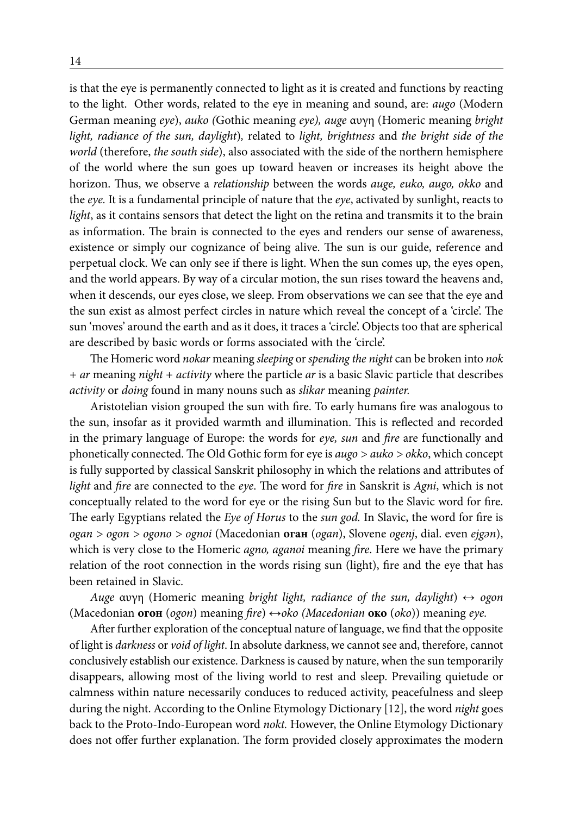is that the eye is permanently connected to light as it is created and functions by reacting to the light. Other words, related to the eye in meaning and sound, are: *augo* (Modern German meaning *eye*), *auko (*Gothic meaning *eye), auge* αυγη (Homeric meaning *bright light, radiance of the sun, daylight*)*,* related to *light, brightness* and *the bright side of the world* (therefore, *the south side*), also associated with the side of the northern hemisphere of the world where the sun goes up toward heaven or increases its height above the horizon. Thus, we observe a *relationship* between the words *auge, euko, augo, okko* and the *eye.* It is a fundamental principle of nature that the *eye*, activated by sunlight, reacts to *light*, as it contains sensors that detect the light on the retina and transmits it to the brain as information. The brain is connected to the eyes and renders our sense of awareness, existence or simply our cognizance of being alive. The sun is our guide, reference and perpetual clock. We can only see if there is light. When the sun comes up, the eyes open, and the world appears. By way of a circular motion, the sun rises toward the heavens and, when it descends, our eyes close, we sleep. From observations we can see that the eye and the sun exist as almost perfect circles in nature which reveal the concept of a 'circle'. The sun 'moves' around the earth and as it does, it traces a 'circle'. Objects too that are spherical are described by basic words or forms associated with the 'circle'.

The Homeric word *nokar* meaning *sleeping* or *spending the night* can be broken into *nok + ar* meaning *night* + *activity* where the particle *ar* is a basic Slavic particle that describes *activity* or *doing* found in many nouns such as *slikar* meaning *painter.*

Aristotelian vision grouped the sun with fire. To early humans fire was analogous to the sun, insofar as it provided warmth and illumination. This is reflected and recorded in the primary language of Europe: the words for *eye, sun* and *fire* are functionally and phonetically connected. The Old Gothic form for eye is *augo > auko > okko*, which concept is fully supported by classical Sanskrit philosophy in which the relations and attributes of *light* and *fire* are connected to the *eye*. The word for *fire* in Sanskrit is *Agni*, which is not conceptually related to the word for eye or the rising Sun but to the Slavic word for fire. The early Egyptians related the *Eye of Horus* to the *sun god.* In Slavic, the word for fire is *ogan > ogon > ogono > ognoi* (Macedonian **оган** (*ogan*), Slovene *ogenj*, dial. even *ejgən*), which is very close to the Homeric *agno, aganoi* meaning *fire*. Here we have the primary relation of the root connection in the words rising sun (light), fire and the eye that has been retained in Slavic.

*Auge* αυγη (Homeric meaning *bright light, radiance of the sun, daylight*) *↔ ogon*  (Macedonian **огон** (*ogon*) meaning *fire*) *↔oko (Macedonian* **око** (*oko*)) meaning *eye.*

After further exploration of the conceptual nature of language, we find that the opposite of light is *darkness* or *void of light*. In absolute darkness, we cannot see and, therefore, cannot conclusively establish our existence. Darkness is caused by nature, when the sun temporarily disappears, allowing most of the living world to rest and sleep. Prevailing quietude or calmness within nature necessarily conduces to reduced activity, peacefulness and sleep during the night. According to the Online Etymology Dictionary [12], the word *night* goes back to the Proto-Indo-European word *nokt.* However, the Online Etymology Dictionary does not offer further explanation. The form provided closely approximates the modern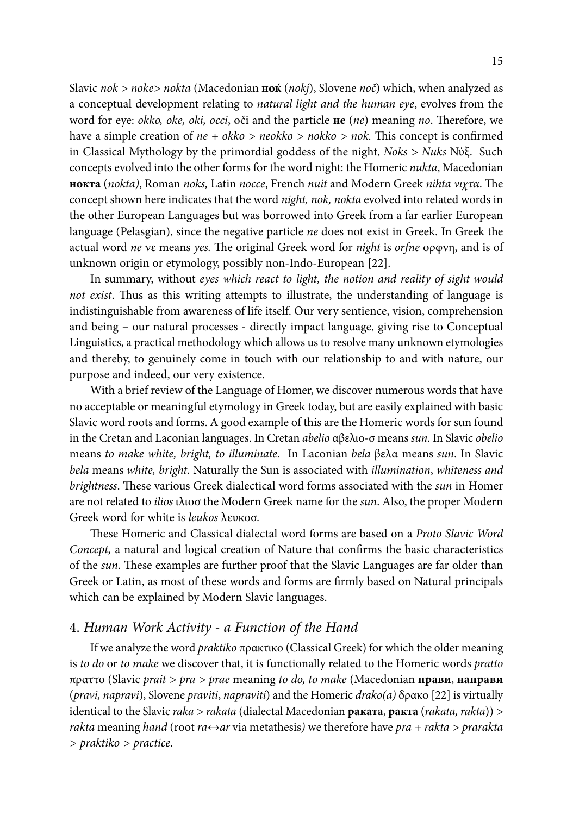Slavic *nok > noke> nokta* (Macedonian **ноќ** (*nokj*), Slovene *noč*) which, when analyzed as a conceptual development relating to *natural light and the human eye*, evolves from the word for eye: *okko, oke, oki, occi*, oči and the particle **не** (*ne*) meaning *no*. Therefore, we have a simple creation of *ne + okko > neokko > nokko > nok.* This concept is confirmed in Classical Mythology by the primordial goddess of the night, *Noks > Nuks* Νύξ. Such concepts evolved into the other forms for the word night: the Homeric *nukta*, Macedonian **нокта** (*nokta)*, Roman *noks,* Latin *nocce*, French *nuit* and Modern Greek *nihta νιχτα*. The concept shown here indicates that the word *night, nok, nokta* evolved into related words in the other European Languages but was borrowed into Greek from a far earlier European language (Pelasgian), since the negative particle *ne* does not exist in Greek. In Greek the actual word *ne* νε means *yes.* The original Greek word for *night* is *orfne* ορφνη, and is of unknown origin or etymology, possibly non-Indo-European [22].

In summary, without *eyes which react to light, the notion and reality of sight would not exist*. Thus as this writing attempts to illustrate, the understanding of language is indistinguishable from awareness of life itself. Our very sentience, vision, comprehension and being – our natural processes - directly impact language, giving rise to Conceptual Linguistics, a practical methodology which allows us to resolve many unknown etymologies and thereby, to genuinely come in touch with our relationship to and with nature, our purpose and indeed, our very existence.

With a brief review of the Language of Homer, we discover numerous words that have no acceptable or meaningful etymology in Greek today, but are easily explained with basic Slavic word roots and forms. A good example of this are the Homeric words for sun found in the Cretan and Laconian languages. In Cretan *abelio* αβελιο-σ means *sun*. In Slavic *obelio*  means *to make white, bright, to illuminate.* In Laconian *bela* βελα means *sun*. In Slavic *bela* means *white, bright.* Naturally the Sun is associated with *illumination*, *whiteness and brightness*. These various Greek dialectical word forms associated with the *sun* in Homer are not related to *ilios* ιλιοσ the Modern Greek name for the *sun*. Also, the proper Modern Greek word for white is *leukos* λευκοσ.

These Homeric and Classical dialectal word forms are based on a *Proto Slavic Word Concept,* a natural and logical creation of Nature that confirms the basic characteristics of the *sun*. These examples are further proof that the Slavic Languages are far older than Greek or Latin, as most of these words and forms are firmly based on Natural principals which can be explained by Modern Slavic languages.

### 4. *Human Work Activity - a Function of the Hand*

If we analyze the word *praktiko* πρακτικο (Classical Greek) for which the older meaning is *to do* or *to make* we discover that, it is functionally related to the Homeric words *pratto*  πραττο (Slavic *prait > pra > prae* meaning *to do, to make* (Macedonian **прави**, **направи** (*pravi, napravi*), Slovene *praviti*, *napraviti*) and the Homeric *drako(a)* δρακο [22] is virtually identical to the Slavic *raka > rakata* (dialectal Macedonian **раката**, **ракта** (*rakata, rakta*)) *> rakta* meaning *hand* (root *ra↔ar* via metathesis*)* we therefore have *pra + rakta > prarakta > praktiko > practice.*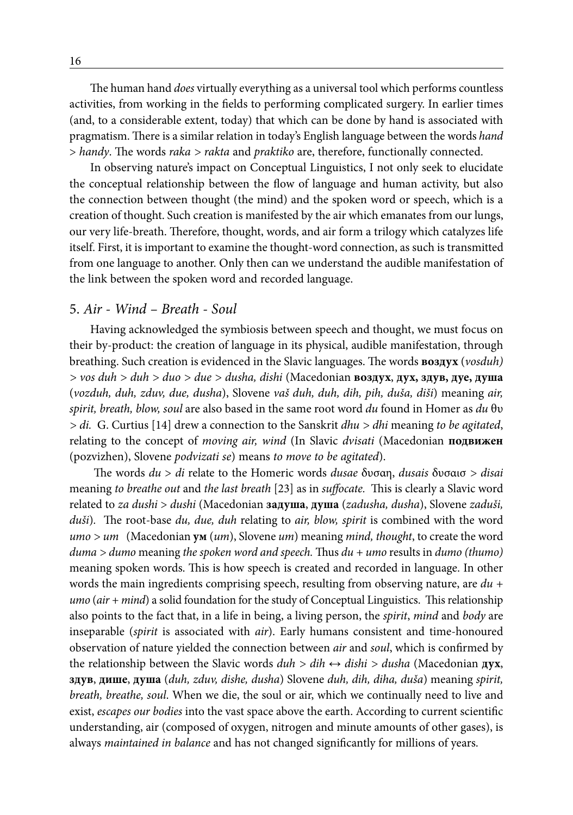The human hand *does* virtually everything as a universal tool which performs countless activities, from working in the fields to performing complicated surgery. In earlier times (and, to a considerable extent, today) that which can be done by hand is associated with pragmatism. There is a similar relation in today's English language between the words *hand* > *handy*. The words *raka > rakta* and *praktiko* are, therefore, functionally connected.

In observing nature's impact on Conceptual Linguistics, I not only seek to elucidate the conceptual relationship between the flow of language and human activity, but also the connection between thought (the mind) and the spoken word or speech, which is a creation of thought. Such creation is manifested by the air which emanates from our lungs, our very life-breath. Therefore, thought, words, and air form a trilogy which catalyzes life itself. First, it is important to examine the thought-word connection, as such is transmitted from one language to another. Only then can we understand the audible manifestation of the link between the spoken word and recorded language.

### 5. *Air - Wind – Breath - Soul*

Having acknowledged the symbiosis between speech and thought, we must focus on their by-product: the creation of language in its physical, audible manifestation, through breathing. Such creation is evidenced in the Slavic languages. The words **воздух** (*vosduh) > vos duh > duh > duo > due > dusha, dishi* (Macedonian **воздух**, **дух, здув, дуе, душа** (*vozduh, duh, zduv, due, dusha*), Slovene *vaš duh, duh, dih, pih, duša, diši*) meaning *air, spirit, breath, blow, soul* are also based in the same root word *du* found in Homer as *du* θυ *> di.* G. Curtius [14] drew a connection to the Sanskrit *dhu > dhi* meaning *to be agitated*, relating to the concept of *moving air, wind* (In Slavic *dvisati* (Macedonian **подвижен** (pozvizhen), Slovene *podvizati se*) means *to move to be agitated*).

 The words *du* > *di* relate to the Homeric words *dusae* δυσαη, *dusais* δυσαισ *> disai* meaning *to breathe out* and *the last breath* [23] as in *suffocate.* This is clearly a Slavic word related to *za dushi* > *dushi* (Macedonian **задуша**, **душа** (*zadusha, dusha*), Slovene *zaduši, duši*)*.* The root-base *du, due, duh* relating to *air, blow, spirit* is combined with the word *umo > um* (Macedonian **ум** (*um*), Slovene *um*) meaning *mind, thought*, to create the word *duma > dumo* meaning *the spoken word and speech.* Thus *du + umo* results in *dumo (thumo)*  meaning spoken words. This is how speech is created and recorded in language. In other words the main ingredients comprising speech, resulting from observing nature, are *du + umo* (*air + mind*) a solid foundation for the study of Conceptual Linguistics. This relationship also points to the fact that, in a life in being, a living person, the *spirit*, *mind* and *body* are inseparable (*spirit* is associated with *air*). Early humans consistent and time-honoured observation of nature yielded the connection between *air* and *soul*, which is confirmed by the relationship between the Slavic words *duh > dih ↔ dishi > dusha* (Macedonian **дух**, **здув**, **дише**, **душа** (*duh, zduv, dishe, dusha*) Slovene *duh, dih, diha, duša*) meaning *spirit, breath, breathe, soul*. When we die, the soul or air, which we continually need to live and exist, *escapes our bodies* into the vast space above the earth. According to current scientific understanding, air (composed of oxygen, nitrogen and minute amounts of other gases), is always *maintained in balance* and has not changed significantly for millions of years.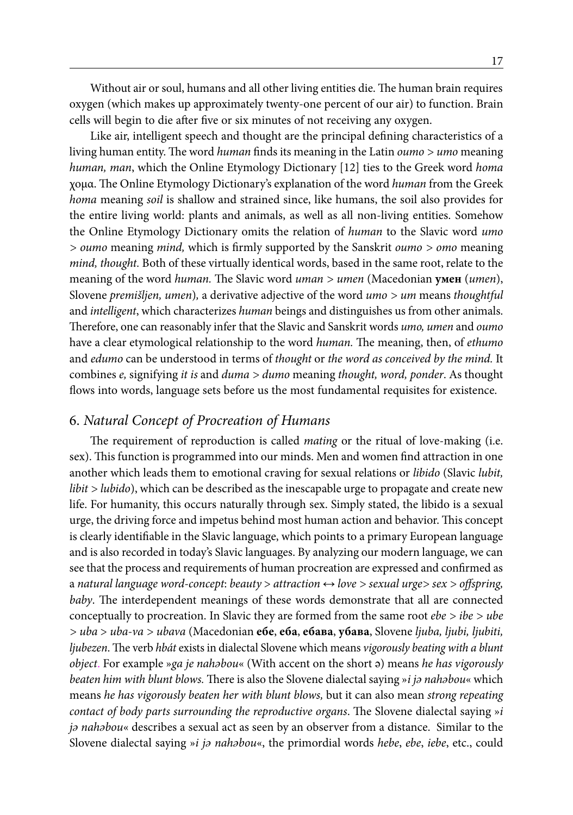Without air or soul, humans and all other living entities die. The human brain requires oxygen (which makes up approximately twenty-one percent of our air) to function. Brain cells will begin to die after five or six minutes of not receiving any oxygen.

Like air, intelligent speech and thought are the principal defining characteristics of a living human entity. The word *human* finds its meaning in the Latin *oumo > umo* meaning *human, man*, which the Online Etymology Dictionary [12] ties to the Greek word *homa* χομα. The Online Etymology Dictionary's explanation of the word *human* from the Greek *homa* meaning *soil* is shallow and strained since, like humans, the soil also provides for the entire living world: plants and animals, as well as all non-living entities. Somehow the Online Etymology Dictionary omits the relation of *human* to the Slavic word *umo > oumo* meaning *mind,* which is firmly supported by the Sanskrit *oumo > omo* meaning *mind, thought.* Both of these virtually identical words, based in the same root, relate to the meaning of the word *human.* The Slavic word *uman > umen* (Macedonian **умен** (*umen*), Slovene *premišljen, umen*)*,* a derivative adjective of the word *umo > um* means *thoughtful* and *intelligent*, which characterizes *human* beings and distinguishes us from other animals. Therefore, one can reasonably infer that the Slavic and Sanskrit words *umo, umen* and *oumo* have a clear etymological relationship to the word *human.* The meaning, then, of *ethumo*  and *edumo* can be understood in terms of *thought* or *the word as conceived by the mind.* It combines *e,* signifying *it is* and *duma > dumo* meaning *thought, word, ponder*. As thought flows into words, language sets before us the most fundamental requisites for existence.

# 6. *Natural Concept of Procreation of Humans*

The requirement of reproduction is called *mating* or the ritual of love-making (i.e. sex). This function is programmed into our minds. Men and women find attraction in one another which leads them to emotional craving for sexual relations or *libido* (Slavic *lubit, libit > lubido*), which can be described as the inescapable urge to propagate and create new life. For humanity, this occurs naturally through sex. Simply stated, the libido is a sexual urge, the driving force and impetus behind most human action and behavior. This concept is clearly identifiable in the Slavic language, which points to a primary European language and is also recorded in today's Slavic languages. By analyzing our modern language, we can see that the process and requirements of human procreation are expressed and confirmed as a *natural language word-concept*: *beauty* > *attraction ↔ love > sexual urge> sex > offspring, baby*. The interdependent meanings of these words demonstrate that all are connected conceptually to procreation. In Slavic they are formed from the same root *ebe > ibe > ube > uba* > *uba-va > ubava* (Macedonian **ебе**, **еба**, **ебава**, **убава**, Slovene *ljuba, ljubi, ljubiti, ljubezen*. The verb *hbát* exists in dialectal Slovene which means *vigorously beating with a blunt object*. For example »*ga je nahəbou*« (With accent on the short ə) means *he has vigorously beaten him with blunt blows.* There is also the Slovene dialectal saying »*i jə nahəbou*« which means *he has vigorously beaten her with blunt blows,* but it can also mean *strong repeating contact of body parts surrounding the reproductive organs*. The Slovene dialectal saying »*i jə nahəbou*« describes a sexual act as seen by an observer from a distance. Similar to the Slovene dialectal saying »*i jə nahəbou*«, the primordial words *hebe*, *ebe*, *iebe*, etc., could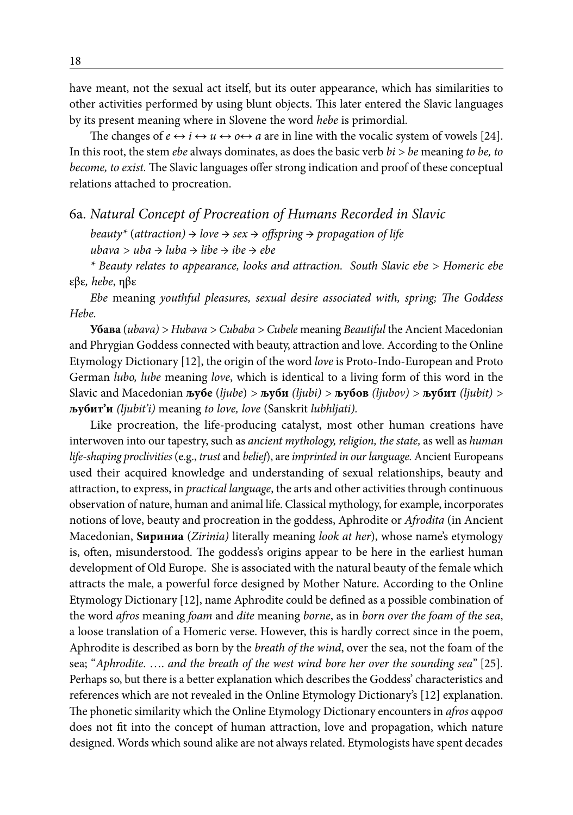have meant, not the sexual act itself, but its outer appearance, which has similarities to other activities performed by using blunt objects. This later entered the Slavic languages by its present meaning where in Slovene the word *hebe* is primordial.

The changes of  $e \leftrightarrow i \leftrightarrow u \leftrightarrow o \leftrightarrow a$  are in line with the vocalic system of vowels [24]. In this root, the stem *ebe* always dominates, as does the basic verb *bi > be* meaning *to be, to become, to exist.* The Slavic languages offer strong indication and proof of these conceptual relations attached to procreation.

# 6a. *Natural Concept of Procreation of Humans Recorded in Slavic*

*beauty\** (*attraction) → love → sex → offspring → propagation of life ubava > uba → luba → libe → ibe → ebe*

*\* Beauty relates to appearance, looks and attraction. South Slavic ebe > Homeric ebe* εβε*, hebe*, ηβε

*Ebe* meaning *youthful pleasures, sexual desire associated with, spring; The Goddess Hebe.*

**Убава** (*ubava) > Hubava > Cubaba > Cubele* meaning *Beautiful* the Ancient Macedonian and Phrygian Goddess connected with beauty, attraction and love. According to the Online Etymology Dictionary [12], the origin of the word *love* is Proto-Indo-European and Proto German *lubo, lube* meaning *love*, which is identical to a living form of this word in the Slavic and Macedonian **љубе** (*ljube*) *>* **љуби** *(ljubi) >* **љубов** *(ljubov) >* **љубит** *(ljubit) >*  **љубит'и** *(ljubit'i)* meaning *to love, love* (Sanskrit *lubhljati).*

Like procreation, the life-producing catalyst, most other human creations have interwoven into our tapestry, such as *ancient mythology, religion, the state,* as well as *human life-shaping proclivities* (e.g., *trust* and *belief*), are *imprinted in our language.* Ancient Europeans used their acquired knowledge and understanding of sexual relationships, beauty and attraction, to express, in *practical language*, the arts and other activities through continuous observation of nature, human and animal life. Classical mythology, for example, incorporates notions of love, beauty and procreation in the goddess, Aphrodite or *Afrodita* (in Ancient Macedonian, **Ѕириниа** (*Zirinia)* literally meaning *look at her*), whose name's etymology is, often, misunderstood. The goddess's origins appear to be here in the earliest human development of Old Europe. She is associated with the natural beauty of the female which attracts the male, a powerful force designed by Mother Nature. According to the Online Etymology Dictionary [12], name Aphrodite could be defined as a possible combination of the word *afros* meaning *foam* and *dite* meaning *borne*, as in *born over the foam of the sea*, a loose translation of a Homeric verse. However, this is hardly correct since in the poem, Aphrodite is described as born by the *breath of the wind*, over the sea, not the foam of the sea; "*Aphrodite*. …. *and the breath of the west wind bore her over the sounding sea"* [25]*.* Perhaps so, but there is a better explanation which describes the Goddess' characteristics and references which are not revealed in the Online Etymology Dictionary's [12] explanation. The phonetic similarity which the Online Etymology Dictionary encounters in *afros* αφροσ does not fit into the concept of human attraction, love and propagation, which nature designed. Words which sound alike are not always related. Etymologists have spent decades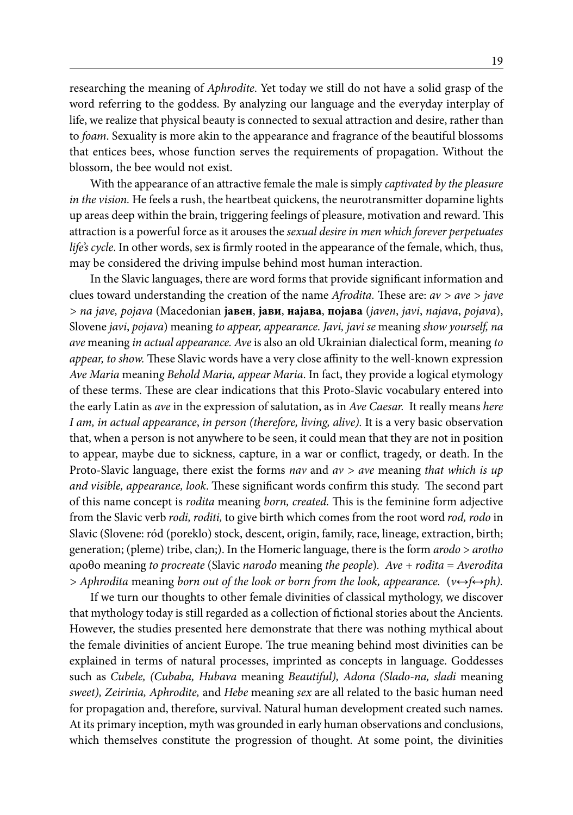researching the meaning of *Aphrodite*. Yet today we still do not have a solid grasp of the word referring to the goddess. By analyzing our language and the everyday interplay of life, we realize that physical beauty is connected to sexual attraction and desire, rather than to *foam*. Sexuality is more akin to the appearance and fragrance of the beautiful blossoms that entices bees, whose function serves the requirements of propagation. Without the blossom, the bee would not exist.

With the appearance of an attractive female the male is simply *captivated by the pleasure in the vision*. He feels a rush, the heartbeat quickens, the neurotransmitter dopamine lights up areas deep within the brain, triggering feelings of pleasure, motivation and reward. This attraction is a powerful force as it arouses the *sexual desire in men which forever perpetuates life's cycle*. In other words, sex is firmly rooted in the appearance of the female, which, thus, may be considered the driving impulse behind most human interaction.

In the Slavic languages, there are word forms that provide significant information and clues toward understanding the creation of the name *Afrodita.* These are: *av > ave > jave > na jave, pojava* (Macedonian **јавен**, **јави**, **најава**, **појава** (*javen*, *javi*, *najava*, *pojava*), Slovene *javi*, *pojava*) meaning *to appear, appearance. Javi, javi se* meaning *show yourself, na ave* meaning *in actual appearance. Ave* is also an old Ukrainian dialectical form, meaning *to appear, to show.* These Slavic words have a very close affinity to the well-known expression *Ave Maria* meanin*g Behold Maria, appear Maria*. In fact, they provide a logical etymology of these terms. These are clear indications that this Proto-Slavic vocabulary entered into the early Latin as *ave* in the expression of salutation, as in *Ave Caesar.* It really means *here I am, in actual appearance*, *in person (therefore, living, alive).* It is a very basic observation that, when a person is not anywhere to be seen, it could mean that they are not in position to appear, maybe due to sickness, capture, in a war or conflict, tragedy, or death. In the Proto-Slavic language, there exist the forms *nav* and *av > ave* meaning *that which is up and visible, appearance, look*. These significant words confirm this study. The second part of this name concept is *rodita* meaning *born, created.* This is the feminine form adjective from the Slavic verb *rodi, roditi,* to give birth which comes from the root word *rod, rodo* in Slavic (Slovene: ród (poreklo) stock, descent, origin, family, race, lineage, extraction, birth; generation; (pleme) tribe, clan;). In the Homeric language, there is the form *arodo* > *arotho*  αροθο meaning *to procreate* (Slavic *narodo* meaning *the people*)*. Ave + rodita = Averodita > Aphrodita* meaning *born out of the look or born from the look, appearance.* (*v↔f↔ph).*

If we turn our thoughts to other female divinities of classical mythology, we discover that mythology today is still regarded as a collection of fictional stories about the Ancients. However, the studies presented here demonstrate that there was nothing mythical about the female divinities of ancient Europe. The true meaning behind most divinities can be explained in terms of natural processes, imprinted as concepts in language. Goddesses such as *Cubele, (Cubaba, Hubava* meaning *Beautiful), Adona (Slado-na, sladi* meaning *sweet), Zeirinia, Aphrodite,* and *Hebe* meaning *sex* are all related to the basic human need for propagation and, therefore, survival. Natural human development created such names. At its primary inception, myth was grounded in early human observations and conclusions, which themselves constitute the progression of thought. At some point, the divinities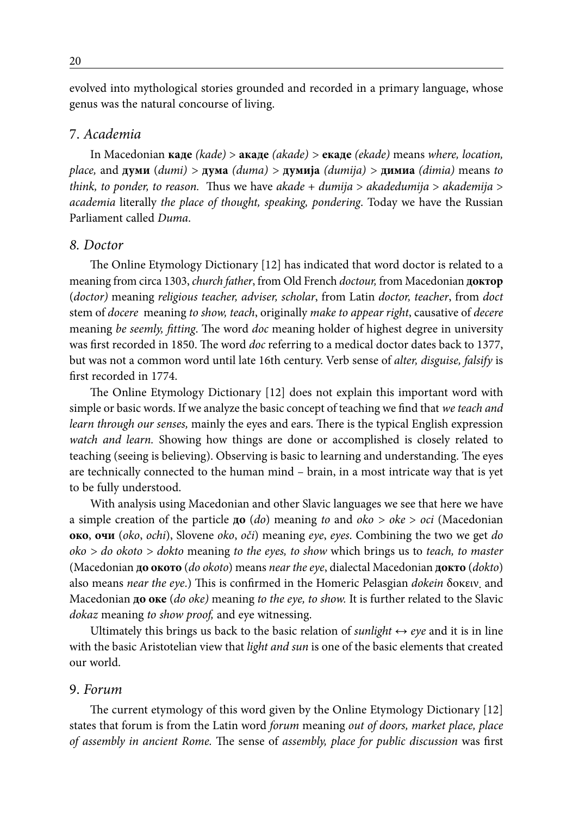evolved into mythological stories grounded and recorded in a primary language, whose genus was the natural concourse of living.

### 7. *Academia*

In Macedonian **каде** *(kade)* > **акаде** *(akade) >* **екаде** *(ekade)* means *where, location, place,* and **думи** (*dumi) >* **дума** *(duma) >* **думија** *(dumija) >* **димиа** *(dimia)* means *to think, to ponder, to reason.* Thus we have *akade* + *dumija* > *akadedumija* > *akademija* > *academia* literally *the place of thought, speaking, pondering*. Today we have the Russian Parliament called *Duma*.

### *8. Doctor*

The Online Etymology Dictionary [12] has indicated that word doctor is related to a meaning from circa 1303, *church father*, from Old French *doctour,* from Macedonian **доктор** (*doctor)* meaning *religious teacher, adviser, scholar*, from Latin *doctor, teacher*, from *doct* stem of *docere* meaning *to show, teach*, originally *make to appear right*, causative of *decere* meaning *be seemly, fitting*. The word *doc* meaning holder of highest degree in university was first recorded in 1850. The word *doc* referring to a medical doctor dates back to 1377, but was not a common word until late 16th century. Verb sense of *alter, disguise, falsify* is first recorded in 1774.

The Online Etymology Dictionary [12] does not explain this important word with simple or basic words. If we analyze the basic concept of teaching we find that *we teach and learn through our senses,* mainly the eyes and ears. There is the typical English expression *watch and learn.* Showing how things are done or accomplished is closely related to teaching (seeing is believing). Observing is basic to learning and understanding. The eyes are technically connected to the human mind – brain, in a most intricate way that is yet to be fully understood.

With analysis using Macedonian and other Slavic languages we see that here we have a simple creation of the particle **до** (*do*) meaning *to* and *oko > oke* > *oci* (Macedonian **око**, **очи** (*oko*, *ochi*), Slovene *oko*, *oči*) meaning *eye*, *eyes*. Combining the two we get *do oko > do okoto > dokto* meaning *to the eyes, to show* which brings us to *teach, to master* (Macedonian **до окото** (*do okoto*) means *near the eye*, dialectal Macedonian **докто** (*dokto*) also means *near the eye*.) This is confirmed in the Homeric Pelasgian *dokein* δοκειν. and Macedonian **до оке** (*do oke)* meaning *to the eye, to show.* It is further related to the Slavic *dokaz* meaning *to show proof,* and eye witnessing.

Ultimately this brings us back to the basic relation of *sunlight*  $\leftrightarrow$  *eye* and it is in line with the basic Aristotelian view that *light and sun* is one of the basic elements that created our world.

### 9. *Forum*

The current etymology of this word given by the Online Etymology Dictionary [12] states that forum is from the Latin word *forum* meaning *out of doors, market place, place of assembly in ancient Rome.* The sense of *assembly, place for public discussion* was first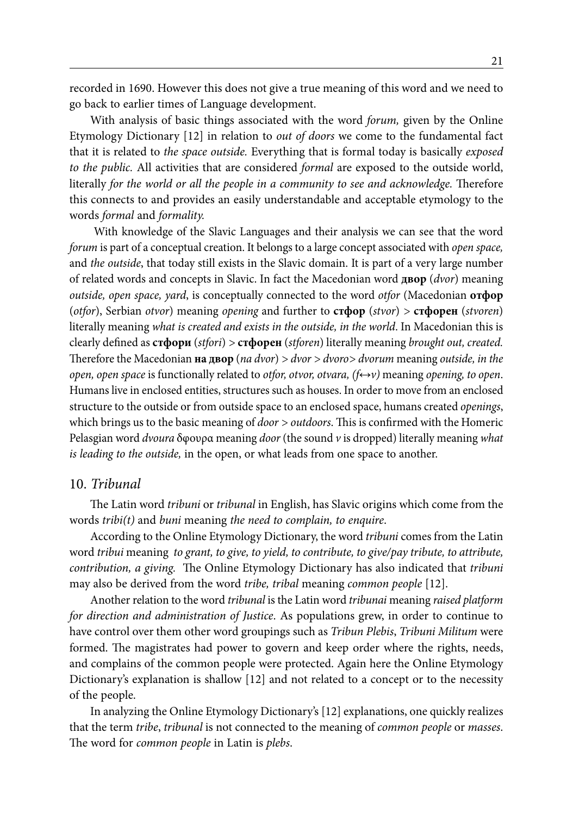recorded in 1690. However this does not give a true meaning of this word and we need to go back to earlier times of Language development.

With analysis of basic things associated with the word *forum,* given by the Online Etymology Dictionary [12] in relation to *out of doors* we come to the fundamental fact that it is related to *the space outside.* Everything that is formal today is basically *exposed to the public.* All activities that are considered *formal* are exposed to the outside world, literally *for the world or all the people in a community to see and acknowledge.* Therefore this connects to and provides an easily understandable and acceptable etymology to the words *formal* and *formality.*

With knowledge of the Slavic Languages and their analysis we can see that the word *forum* is part of a conceptual creation. It belongs to a large concept associated with *open space,*  and *the outside*, that today still exists in the Slavic domain. It is part of a very large number of related words and concepts in Slavic. In fact the Macedonian word **двор** (*dvor*) meaning *outside, open space, yard*, is conceptually connected to the word *otfor* (Macedonian **отфор** (*otfor*), Serbian *otvor*) meaning *opening* and further to **стфор** (*stvor*) *>* **стфорен** (*stvoren*) literally meaning *what is created and exists in the outside, in the world*. In Macedonian this is clearly defined as **стфори** (*stfori*) *>* **стфорен** (*stforen*) literally meaning *brought out, created.*  Therefore the Macedonian **на двор** (*na dvor*) *> dvor > dvoro> dvorum* meaning *outside, in the open, open space* is functionally related to *otfor, otvor, otvara, (f↔v)* meaning *opening, to open*. Humans live in enclosed entities, structures such as houses. In order to move from an enclosed structure to the outside or from outside space to an enclosed space, humans created *openings*, which brings us to the basic meaning of *door > outdoors*. This is confirmed with the Homeric Pelasgian word *dvoura* δφουρα meaning *door* (the sound *v* is dropped) literally meaning *what is leading to the outside,* in the open, or what leads from one space to another.

#### 10. *Tribunal*

The Latin word *tribuni* or *tribunal* in English, has Slavic origins which come from the words *tribi(t)* and *buni* meaning *the need to complain, to enquire*.

According to the Online Etymology Dictionary, the word *tribuni* comes from the Latin word *tribui* meaning *to grant, to give, to yield, to contribute, to give/pay tribute, to attribute, contribution, a giving.* The Online Etymology Dictionary has also indicated that *tribuni*  may also be derived from the word *tribe, tribal* meaning *common people* [12].

Another relation to the word *tribunal* is the Latin word *tribunai* meaning *raised platform for direction and administration of Justice*. As populations grew, in order to continue to have control over them other word groupings such as *Tribun Plebis*, *Tribuni Militum* were formed. The magistrates had power to govern and keep order where the rights, needs, and complains of the common people were protected. Again here the Online Etymology Dictionary's explanation is shallow [12] and not related to a concept or to the necessity of the people.

In analyzing the Online Etymology Dictionary's [12] explanations, one quickly realizes that the term *tribe*, *tribunal* is not connected to the meaning of *common people* or *masses*. The word for *common people* in Latin is *plebs*.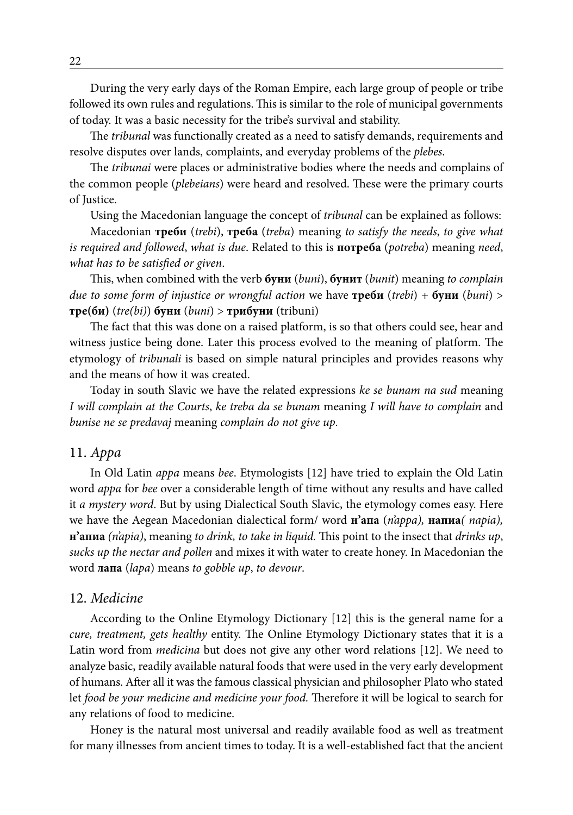During the very early days of the Roman Empire, each large group of people or tribe followed its own rules and regulations. This is similar to the role of municipal governments of today. It was a basic necessity for the tribe's survival and stability.

The *tribunal* was functionally created as a need to satisfy demands, requirements and resolve disputes over lands, complaints, and everyday problems of the *plebes*.

The *tribunai* were places or administrative bodies where the needs and complains of the common people (*plebeians*) were heard and resolved. These were the primary courts of Justice.

Using the Macedonian language the concept of *tribunal* can be explained as follows:

Macedonian **треби** (*trebi*), **треба** (*treba*) meaning *to satisfy the needs*, *to give what is required and followed*, *what is due*. Related to this is **потреба** (*potreba*) meaning *need*, *what has to be satisfied or given*.

This, when combined with the verb **буни** (*buni*), **бунит** (*bunit*) meaning *to complain due to some form of injustice or wrongful action* we have **треби** (*trebi*) + **буни** (*buni*) > **тре(би)** (*tre(bi)*) **буни** (*buni*) > **трибуни** (tribuni)

The fact that this was done on a raised platform, is so that others could see, hear and witness justice being done. Later this process evolved to the meaning of platform. The etymology of *tribunali* is based on simple natural principles and provides reasons why and the means of how it was created.

Today in south Slavic we have the related expressions *ke se bunam na sud* meaning *I will complain at the Courts*, *ke treba da se bunam* meaning *I will have to complain* and *bunise ne se predavaj* meaning *complain do not give up*.

### 11. *Appa*

In Old Latin *appa* means *bee*. Etymologists [12] have tried to explain the Old Latin word *appa* for *bee* over a considerable length of time without any results and have called it *a mystery word*. But by using Dialectical South Slavic, the etymology comes easy. Here we have the Aegean Macedonian dialectical form/ word **н'апа** (*n'appa),* **напиа***( napia),*  **н'апиа** *(n'apia)*, meaning *to drink, to take in liquid.* This point to the insect that *drinks up*, *sucks up the nectar and pollen* and mixes it with water to create honey. In Macedonian the word **лапа** (*lapa*) means *to gobble up*, *to devour*.

### 12. *Medicine*

According to the Online Etymology Dictionary [12] this is the general name for a *cure, treatment, gets healthy* entity. The Online Etymology Dictionary states that it is a Latin word from *medicina* but does not give any other word relations [12]. We need to analyze basic, readily available natural foods that were used in the very early development of humans. After all it was the famous classical physician and philosopher Plato who stated let *food be your medicine and medicine your food.* Therefore it will be logical to search for any relations of food to medicine.

Honey is the natural most universal and readily available food as well as treatment for many illnesses from ancient times to today. It is a well-established fact that the ancient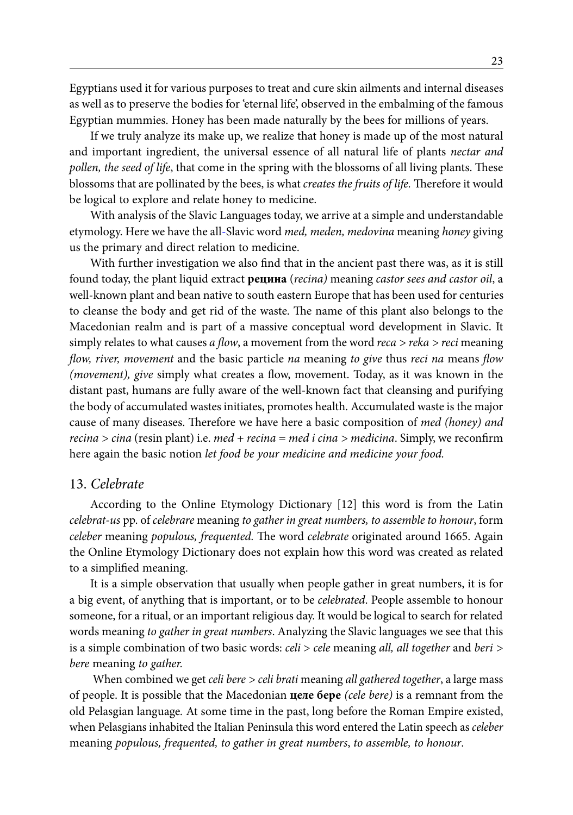Egyptians used it for various purposes to treat and cure skin ailments and internal diseases as well as to preserve the bodies for 'eternal life', observed in the embalming of the famous Egyptian mummies. Honey has been made naturally by the bees for millions of years.

If we truly analyze its make up, we realize that honey is made up of the most natural and important ingredient, the universal essence of all natural life of plants *nectar and pollen, the seed of life*, that come in the spring with the blossoms of all living plants. These blossoms that are pollinated by the bees, is what *creates the fruits of life.* Therefore it would be logical to explore and relate honey to medicine.

With analysis of the Slavic Languages today, we arrive at a simple and understandable etymology. Here we have the all-Slavic word *med, meden, medovina* meaning *honey* giving us the primary and direct relation to medicine.

With further investigation we also find that in the ancient past there was, as it is still found today, the plant liquid extract **рецина** (*recina)* meaning *castor sees and castor oil*, a well-known plant and bean native to south eastern Europe that has been used for centuries to cleanse the body and get rid of the waste. The name of this plant also belongs to the Macedonian realm and is part of a massive conceptual word development in Slavic. It simply relates to what causes *a flow*, a movement from the word *reca > reka > reci* meaning *flow, river, movement* and the basic particle *na* meaning *to give* thus *reci na* means *flow (movement), give* simply what creates a flow, movement. Today, as it was known in the distant past, humans are fully aware of the well-known fact that cleansing and purifying the body of accumulated wastes initiates, promotes health. Accumulated waste is the major cause of many diseases. Therefore we have here a basic composition of *med (honey) and recina > cina* (resin plant) i.e. *med + recina = med i cina > medicina*. Simply, we reconfirm here again the basic notion *let food be your medicine and medicine your food.*

#### 13. *Celebrate*

According to the Online Etymology Dictionary [12] this word is from the Latin *celebrat-us* pp. of *celebrare* meaning *to gather in great numbers, to assemble to honour*, form *celeber* meaning *populous, frequented.* The word *celebrate* originated around 1665. Again the Online Etymology Dictionary does not explain how this word was created as related to a simplified meaning.

It is a simple observation that usually when people gather in great numbers, it is for a big event, of anything that is important, or to be *celebrated*. People assemble to honour someone, for a ritual, or an important religious day. It would be logical to search for related words meaning *to gather in great numbers*. Analyzing the Slavic languages we see that this is a simple combination of two basic words: *celi* > *cele* meaning *all, all together* and *beri > bere* meaning *to gather.*

When combined we get *celi bere > celi brati* meaning *all gathered together*, a large mass of people. It is possible that the Macedonian **целе бере** *(cele bere)* is a remnant from the old Pelasgian language*.* At some time in the past, long before the Roman Empire existed, when Pelasgians inhabited the Italian Peninsula this word entered the Latin speech as *celeber*  meaning *populous, frequented, to gather in great numbers*, *to assemble, to honour*.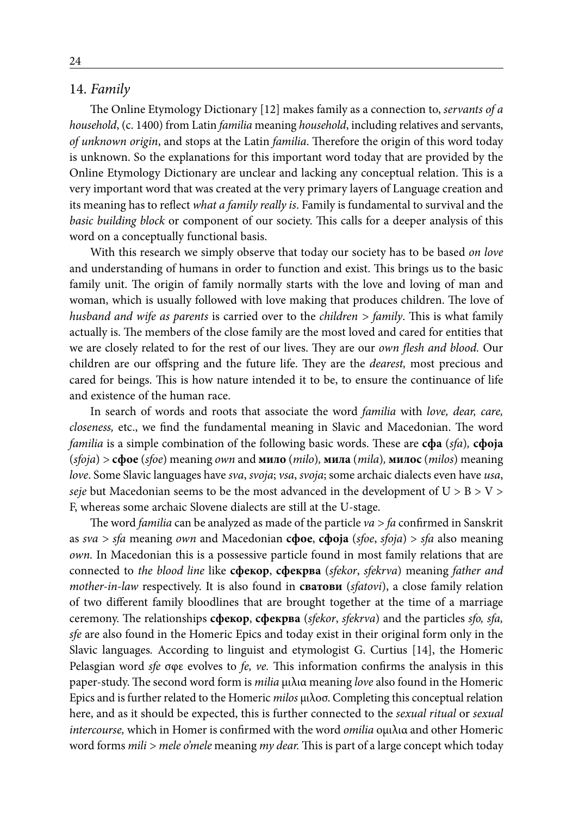### 14. *Family*

The Online Etymology Dictionary [12] makes family as a connection to, *servants of a household*, (c. 1400) from Latin *familia* meaning *household*, including relatives and servants, *of unknown origin*, and stops at the Latin *familia*. Therefore the origin of this word today is unknown. So the explanations for this important word today that are provided by the Online Etymology Dictionary are unclear and lacking any conceptual relation. This is a very important word that was created at the very primary layers of Language creation and its meaning has to reflect *what a family really is*. Family is fundamental to survival and the *basic building block* or component of our society. This calls for a deeper analysis of this word on a conceptually functional basis.

With this research we simply observe that today our society has to be based *on love* and understanding of humans in order to function and exist. This brings us to the basic family unit. The origin of family normally starts with the love and loving of man and woman, which is usually followed with love making that produces children. The love of *husband and wife as parents* is carried over to the *children > family*. This is what family actually is. The members of the close family are the most loved and cared for entities that we are closely related to for the rest of our lives. They are our *own flesh and blood.* Our children are our offspring and the future life. They are the *dearest,* most precious and cared for beings. This is how nature intended it to be, to ensure the continuance of life and existence of the human race.

In search of words and roots that associate the word *familia* with *love, dear, care, closeness,* etc., we find the fundamental meaning in Slavic and Macedonian. The word *familia* is a simple combination of the following basic words. These are **сфа** (*sfa*)*,* **сфоја** (*sfoja*) *>* **сфое** (*sfoe*) meaning *own* and **мило** (*milo*)*,* **мила** (*mila*)*,* **милос** (*milos*) meaning *love*. Some Slavic languages have *sva*, *svoja*; *vsa*, *svoja*; some archaic dialects even have *usa*, *seje* but Macedonian seems to be the most advanced in the development of  $U > B > V >$ F, whereas some archaic Slovene dialects are still at the U-stage.

The word *familia* can be analyzed as made of the particle *va > fa* confirmed in Sanskrit as *sva > sfa* meaning *own* and Macedonian **сфое**, **сфоја** (*sfoe*, *sfoja*) > *sfa* also meaning *own.* In Macedonian this is a possessive particle found in most family relations that are connected to *the blood line* like **сфекор**, **сфекрва** (*sfekor*, *sfekrva*) meaning *father and mother-in-law* respectively. It is also found in **сватови** (*sfatovi*), a close family relation of two different family bloodlines that are brought together at the time of a marriage ceremony. The relationships **сфекор**, **сфекрва** (*sfekor*, *sfekrva*) and the particles *sfo, sfa, sfe* are also found in the Homeric Epics and today exist in their original form only in the Slavic languages*.* According to linguist and etymologist G. Curtius [14], the Homeric Pelasgian word *sfe* σφε evolves to *fe, ve.* This information confirms the analysis in this paper-study. The second word form is *milia* μιλια meaning *love* also found in the Homeric Epics and is further related to the Homeric *milos* μιλοσ. Completing this conceptual relation here, and as it should be expected, this is further connected to the *sexual ritual* or *sexual intercourse,* which in Homer is confirmed with the word *omilia* ομιλια and other Homeric word forms *mili > mele o'mele* meaning *my dear.* This is part of a large concept which today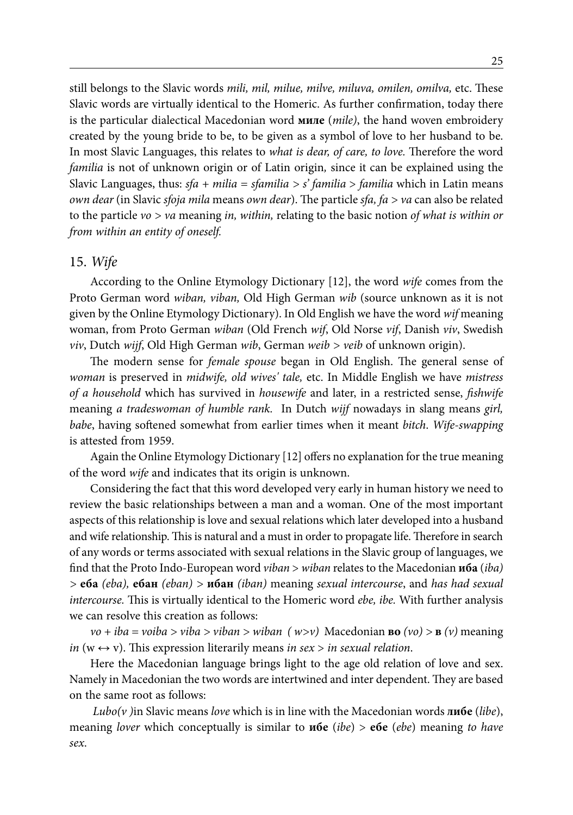still belongs to the Slavic words *mili, mil, milue, milve, miluva, omilen, omilva,* etc. These Slavic words are virtually identical to the Homeric. As further confirmation, today there is the particular dialectical Macedonian word **миле** (*mile)*, the hand woven embroidery created by the young bride to be, to be given as a symbol of love to her husband to be. In most Slavic Languages, this relates to *what is dear, of care, to love.* Therefore the word *familia* is not of unknown origin or of Latin origin*,* since it can be explained using the Slavic Languages, thus: *sfa + milia = sfamilia > s' familia* > *familia* which in Latin means *own dear* (in Slavic *sfoja mila* means *own dear*). The particle *sfa, fa > va* can also be related to the particle *vo > va* meaning *in, within,* relating to the basic notion *of what is within or from within an entity of oneself.*

#### 15. *Wife*

According to the Online Etymology Dictionary [12], the word *wife* comes from the Proto German word *wiban, viban,* Old High German *wib* (source unknown as it is not given by the Online Etymology Dictionary). In Old English we have the word *wif* meaning woman, from Proto German *wiban* (Old French *wif*, Old Norse *vif*, Danish *viv*, Swedish *viv*, Dutch *wijf*, Old High German *wib*, German *weib > veib* of unknown origin).

The modern sense for *female spouse* began in Old English. The general sense of *woman* is preserved in *midwife, old wives' tale,* etc. In Middle English we have *mistress of a household* which has survived in *housewife* and later, in a restricted sense, *fishwife*  meaning *a tradeswoman of humble rank.* In Dutch *wijf* nowadays in slang means *girl, babe*, having softened somewhat from earlier times when it meant *bitch*. *Wife-swapping* is attested from 1959.

Again the Online Etymology Dictionary [12] offers no explanation for the true meaning of the word *wife* and indicates that its origin is unknown.

Considering the fact that this word developed very early in human history we need to review the basic relationships between a man and a woman. One of the most important aspects of this relationship is love and sexual relations which later developed into a husband and wife relationship. This is natural and a must in order to propagate life. Therefore in search of any words or terms associated with sexual relations in the Slavic group of languages, we find that the Proto Indo-European word *viban* > *wiban* relates to the Macedonian **иба** (*iba) >* **еба** *(eba),* **ебан** *(eban) >* **ибан** *(iban)* meaning *sexual intercourse*, and *has had sexual intercourse.* This is virtually identical to the Homeric word *ebe, ibe.* With further analysis we can resolve this creation as follows:

*vo + iba = voiba > viba > viban > wiban ( w>v)* Macedonian **во** *(vo) >* **в** *(v)* meaning *in* ( $w \leftrightarrow v$ ). This expression literarily means *in sex* > *in sexual relation*.

Here the Macedonian language brings light to the age old relation of love and sex. Namely in Macedonian the two words are intertwined and inter dependent. They are based on the same root as follows:

*Lubo(v )*in Slavic means *love* which is in line with the Macedonian words **либе** (*libe*), meaning *lover* which conceptually is similar to **ибе** (*ibe*) > **ебе** (*ebe*) meaning *to have sex*.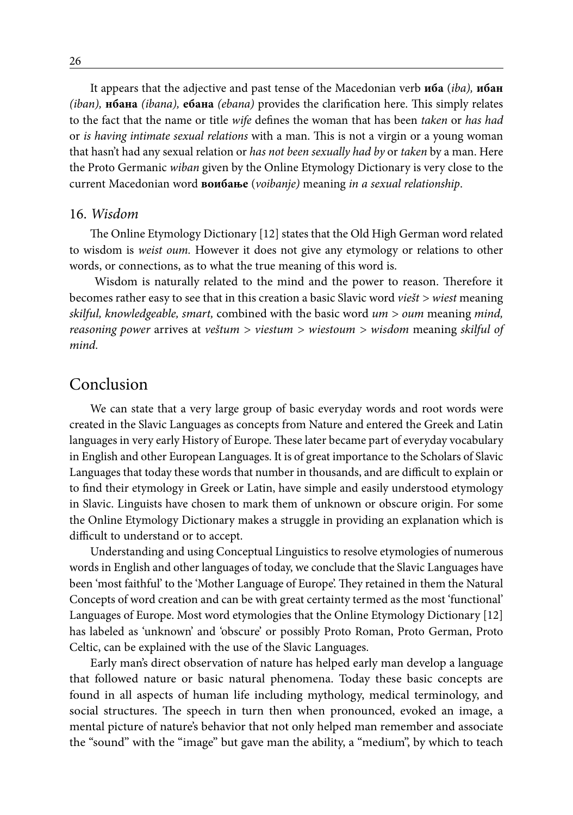It appears that the adjective and past tense of the Macedonian verb **иба** (*iba),* **ибан** *(iban),* **нбана** *(ibana),* **ебана** *(ebana)* provides the clarification here. This simply relates to the fact that the name or title *wife* defines the woman that has been *taken* or *has had*  or *is having intimate sexual relations* with a man. This is not a virgin or a young woman that hasn't had any sexual relation or *has not been sexually had by* or *taken* by a man. Here the Proto Germanic *wiban* given by the Online Etymology Dictionary is very close to the current Macedonian word **воибање** (*voibanje)* meaning *in a sexual relationship*.

### 16. *Wisdom*

The Online Etymology Dictionary [12] states that the Old High German word related to wisdom is *weist oum.* However it does not give any etymology or relations to other words, or connections, as to what the true meaning of this word is.

 Wisdom is naturally related to the mind and the power to reason. Therefore it becomes rather easy to see that in this creation a basic Slavic word *viešt > wiest* meaning *skilful, knowledgeable, smart,* combined with the basic word *um > oum* meaning *mind, reasoning power* arrives at *veštum > viestum > wiestoum > wisdom* meaning *skilful of mind.*

# Conclusion

We can state that a very large group of basic everyday words and root words were created in the Slavic Languages as concepts from Nature and entered the Greek and Latin languages in very early History of Europe. These later became part of everyday vocabulary in English and other European Languages. It is of great importance to the Scholars of Slavic Languages that today these words that number in thousands, and are difficult to explain or to find their etymology in Greek or Latin, have simple and easily understood etymology in Slavic. Linguists have chosen to mark them of unknown or obscure origin. For some the Online Etymology Dictionary makes a struggle in providing an explanation which is difficult to understand or to accept.

Understanding and using Conceptual Linguistics to resolve etymologies of numerous words in English and other languages of today, we conclude that the Slavic Languages have been 'most faithful' to the 'Mother Language of Europe'. They retained in them the Natural Concepts of word creation and can be with great certainty termed as the most 'functional' Languages of Europe. Most word etymologies that the Online Etymology Dictionary [12] has labeled as 'unknown' and 'obscure' or possibly Proto Roman, Proto German, Proto Celtic, can be explained with the use of the Slavic Languages.

Early man's direct observation of nature has helped early man develop a language that followed nature or basic natural phenomena. Today these basic concepts are found in all aspects of human life including mythology, medical terminology, and social structures. The speech in turn then when pronounced, evoked an image, a mental picture of nature's behavior that not only helped man remember and associate the "sound" with the "image" but gave man the ability, a "medium", by which to teach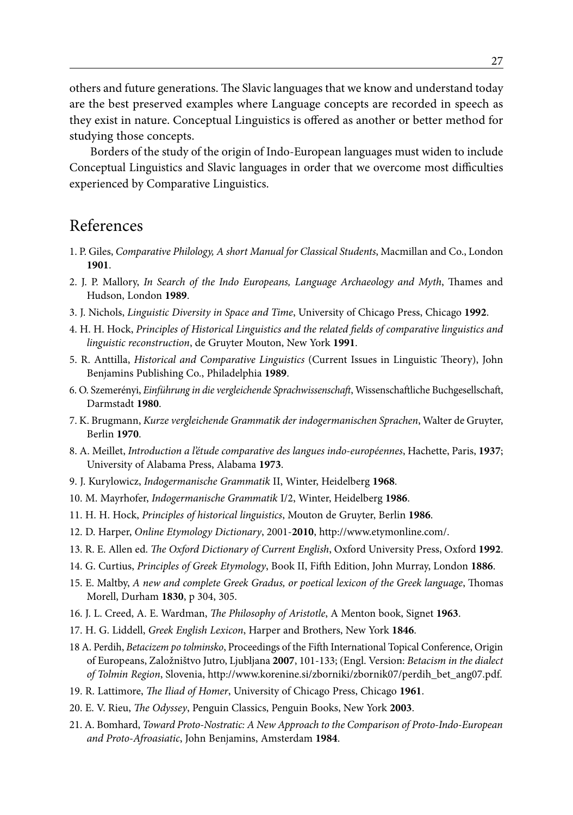others and future generations. The Slavic languages that we know and understand today are the best preserved examples where Language concepts are recorded in speech as they exist in nature. Conceptual Linguistics is offered as another or better method for studying those concepts.

Borders of the study of the origin of Indo-European languages must widen to include Conceptual Linguistics and Slavic languages in order that we overcome most difficulties experienced by Comparative Linguistics.

# References

- 1. P. Giles, *Comparative Philology, A short Manual for Classical Students*, Macmillan and Co., London **1901**.
- 2. J. P. Mallory, *In Search of the Indo Europeans, Language Archaeology and Myth*, Thames and Hudson, London **1989**.
- 3. J. Nichols, *Linguistic Diversity in Space and Time*, University of Chicago Press, Chicago **1992**.
- 4. H. H. Hock, *Principles of Historical Linguistics and the related fields of comparative linguistics and linguistic reconstruction*, de Gruyter Mouton, New York **1991**.
- 5. R. Anttilla, *Historical and Comparative Linguistics* (Current Issues in Linguistic Theory), John Benjamins Publishing Co., Philadelphia **1989**.
- 6. O. Szemerényi, *Einführung in die vergleichende Sprachwissenschaft*, Wissenschaftliche Buchgesellschaft, Darmstadt **1980**.
- 7. K. Brugmann, *Kurze vergleichende Grammatik der indogermanischen Sprachen*, Walter de Gruyter, Berlin **1970**.
- 8. A. Meillet, *Introduction a l'étude comparative des langues indo-européennes*, Hachette, Paris, **1937**; University of Alabama Press, Alabama **1973**.
- 9. J. Kurylowicz, *Indogermanische Grammatik* II, Winter, Heidelberg **1968**.
- 10. M. Mayrhofer, *Indogermanische Grammatik* I/2, Winter, Heidelberg **1986**.
- 11. H. H. Hock, *Principles of historical linguistics*, Mouton de Gruyter, Berlin **1986**.
- 12. D. Harper, *Online Etymology Dictionary*, 2001-**2010**, http://www.etymonline.com/.
- 13. R. E. Allen ed. *The Oxford Dictionary of Current English*, Oxford University Press, Oxford **1992**.
- 14. G. Curtius, *Principles of Greek Etymology*, Book II, Fifth Edition, John Murray, London **1886**.
- 15. E. Maltby, *A new and complete Greek Gradus, or poetical lexicon of the Greek language*, Thomas Morell, Durham **1830**, p 304, 305.
- 16. J. L. Creed, A. E. Wardman, *The Philosophy of Aristotle*, A Menton book, Signet **1963**.
- 17. H. G. Liddell, *Greek English Lexicon*, Harper and Brothers, New York **1846**.
- 18 A. Perdih, *Betacizem po tolminsko*, Proceedings of the Fifth International Topical Conference, Origin of Europeans, Založništvo Jutro, Ljubljana **2007**, 101-133; (Engl. Version: *Betacism in the dialect of Tolmin Region*, Slovenia, http://www.korenine.si/zborniki/zbornik07/perdih\_bet\_ang07.pdf.
- 19. R. Lattimore, *The Iliad of Homer*, University of Chicago Press, Chicago **1961**.
- 20. E. V. Rieu, *The Odyssey*, Penguin Classics, Penguin Books, New York **2003**.
- 21. A. Bomhard, *Toward Proto-Nostratic: A New Approach to the Comparison of Proto-Indo-European and Proto-Afroasiatic*, John Benjamins, Amsterdam **1984**.